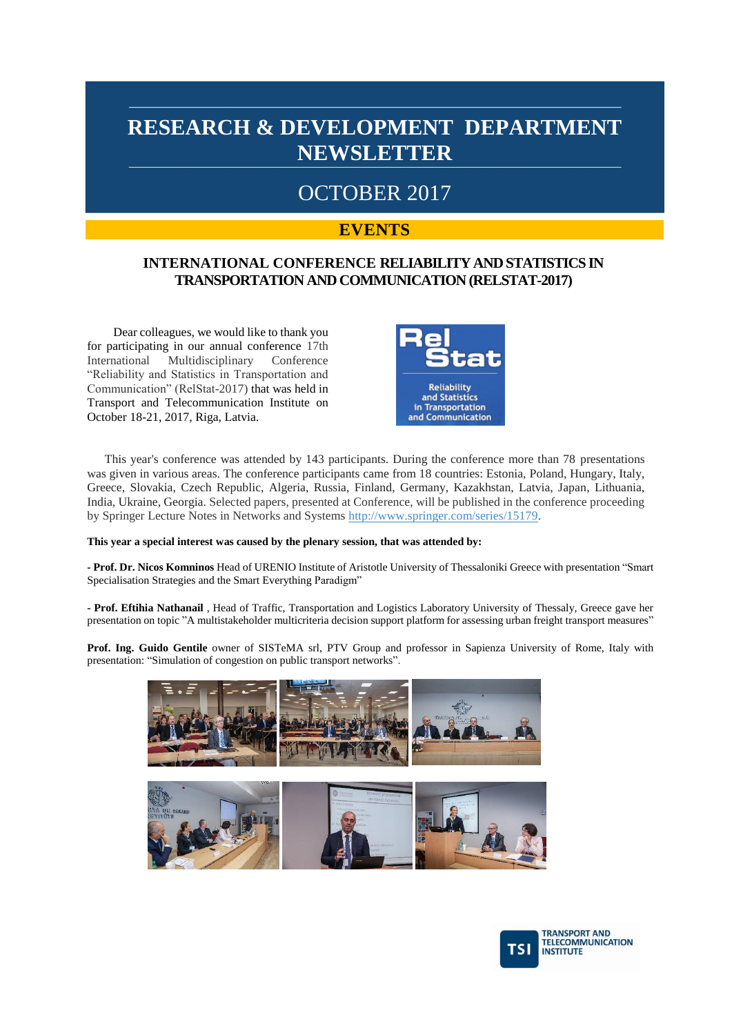### OCTOBER 2017

#### **EVENTS**

#### **INTERNATIONAL CONFERENCE RELIABILITY AND STATISTICS IN TRANSPORTATION AND COMMUNICATION (RELSTAT-2017)**

Dear colleagues, we would like to thank you for participating in our annual conference 17th International Multidisciplinary Conference "Reliability and Statistics in Transportation and Communication" (RelStat-2017) that was held in Transport and Telecommunication Institute on October 18-21, 2017, Riga, Latvia.



This year's conference was attended by 143 participants. During the conference more than 78 presentations was given in various areas. The conference participants came from 18 countries: Estonia, Poland, Hungary, Italy, Greece, Slovakia, Czech Republic, Algeria, Russia, Finland, Germany, Kazakhstan, Latvia, Japan, Lithuania, India, Ukraine, Georgia. Selected papers, presented at Conference, will be published in the conference proceeding by Springer Lecture Notes in Networks and Systems [http://www.springer.com/series/15179.](http://www.springer.com/series/15179)

#### **This year a special interest was caused by the plenary session, that was attended by:**

**- Prof. Dr. Nicos Komninos** Head of URENIO Institute of Aristotle University of Thessaloniki Greece with presentation "Smart Specialisation Strategies and the Smart Everything Paradigm"

**- Prof. Eftihia Nathanail** , Head of Traffic, Transportation and Logistics Laboratory University of Thessaly, Greece gave her presentation on topic "A multistakeholder multicriteria decision support platform for assessing urban freight transport measures"

**Prof. Ing. Guido Gentile** owner of SISTeMA srl, PTV Group and professor in Sapienza University of Rome, Italy with presentation: "Simulation of congestion on public transport networks".



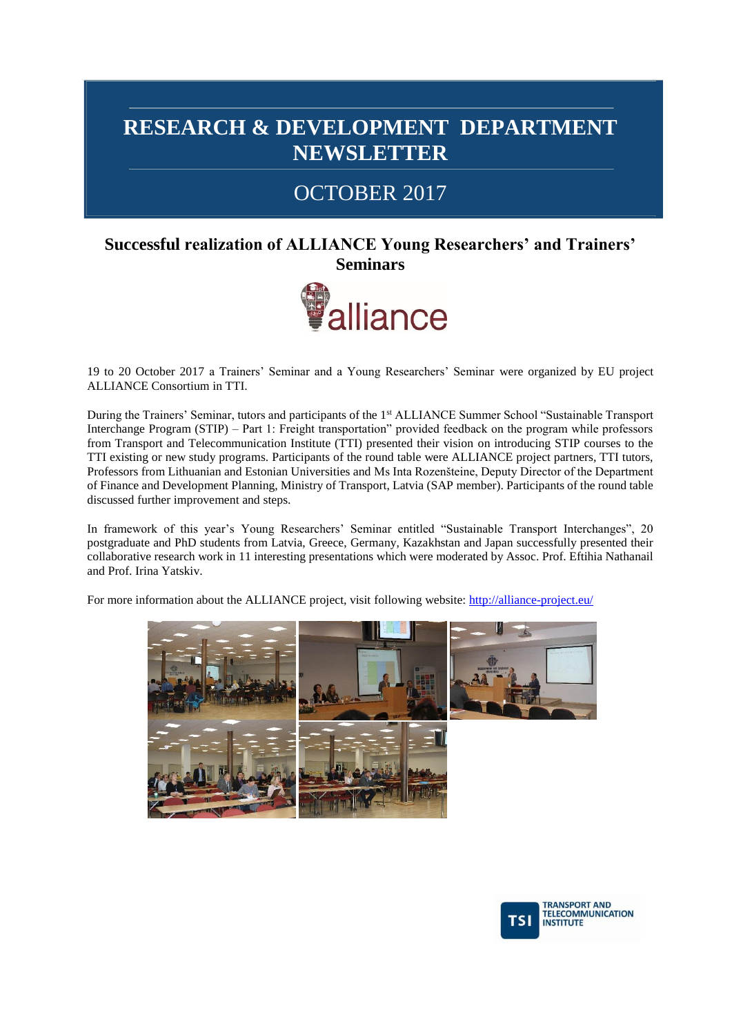### OCTOBER 2017

#### **Successful realization of ALLIANCE Young Researchers' and Trainers' Seminars**



19 to 20 October 2017 a Trainers' Seminar and a Young Researchers' Seminar were organized by EU project ALLIANCE Consortium in TTI.

During the Trainers' Seminar, tutors and participants of the 1st ALLIANCE Summer School "Sustainable Transport Interchange Program (STIP) – Part 1: Freight transportation" provided feedback on the program while professors from Transport and Telecommunication Institute (TTI) presented their vision on introducing STIP courses to the TTI existing or new study programs. Participants of the round table were ALLIANCE project partners, TTI tutors, Professors from Lithuanian and Estonian Universities and Ms Inta Rozenšteine, Deputy Director of the Department of Finance and Development Planning, Ministry of Transport, Latvia (SAP member). Participants of the round table discussed further improvement and steps.

In framework of this year's Young Researchers' Seminar entitled "Sustainable Transport Interchanges", 20 postgraduate and PhD students from Latvia, Greece, Germany, Kazakhstan and Japan successfully presented their collaborative research work in 11 interesting presentations which were moderated by Assoc. Prof. Eftihia Nathanail and Prof. Irina Yatskiv.

For more information about the ALLIANCE project, visit following website[: http://alliance-project.eu/](http://alliance-project.eu/)



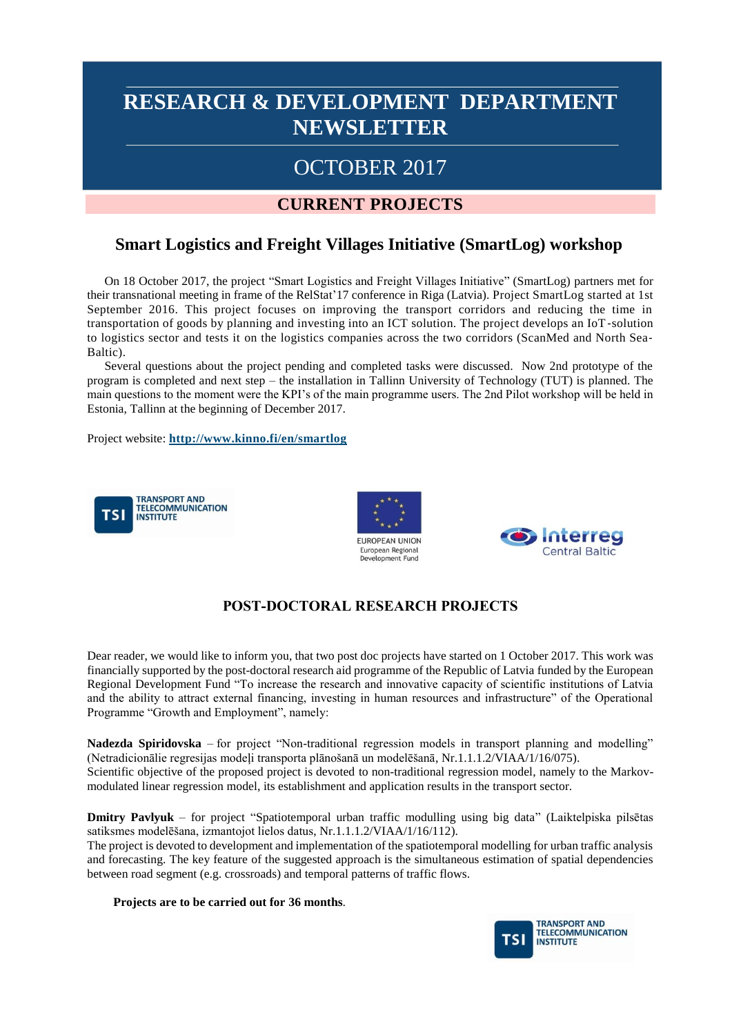### OCTOBER 2017

#### **CURRENT PROJECTS**

#### **Smart Logistics and Freight Villages Initiative (SmartLog) workshop**

On 18 October 2017, the project "Smart Logistics and Freight Villages Initiative" (SmartLog) partners met for their transnational meeting in frame of the RelStat'17 conference in Riga (Latvia). Project SmartLog started at 1st September 2016. This project focuses on improving the transport corridors and reducing the time in transportation of goods by planning and investing into an ICT solution. The project develops an IoT‐solution to logistics sector and tests it on the logistics companies across the two corridors (ScanMed and North Sea‐ Baltic).

Several questions about the project pending and completed tasks were discussed. Now 2nd prototype of the program is completed and next step – the installation in Tallinn University of Technology (TUT) is planned. The main questions to the moment were the KPI's of the main programme users. The 2nd Pilot workshop will be held in Estonia, Tallinn at the beginning of December 2017.

Project website: **<http://www.kinno.fi/en/smartlog>**







#### **POST-DOCTORAL RESEARCH PROJECTS**

Dear reader, we would like to inform you, that two post doc projects have started on 1 October 2017. This work was financially supported by the post-doctoral research aid programme of the Republic of Latvia funded by the European Regional Development Fund "To increase the research and innovative capacity of scientific institutions of Latvia and the ability to attract external financing, investing in human resources and infrastructure" of the Operational Programme "Growth and Employment", namely:

**Nadezda Spiridovska** – for project "Non-traditional regression models in transport planning and modelling" (Netradicionālie regresijas modeļi transporta plānošanā un modelēšanā, Nr.1.1.1.2/VIAA/1/16/075). Scientific objective of the proposed project is devoted to non-traditional regression model, namely to the Markovmodulated linear regression model, its establishment and application results in the transport sector.

**Dmitry Pavlyuk** – for project "Spatiotemporal urban traffic modulling using big data" (Laiktelpiska pilsētas satiksmes modelēšana, izmantojot lielos datus, Nr.1.1.1.2/VIAA/1/16/112).

The project is devoted to development and implementation of the spatiotemporal modelling for urban traffic analysis and forecasting. The key feature of the suggested approach is the simultaneous estimation of spatial dependencies between road segment (e.g. crossroads) and temporal patterns of traffic flows.

#### **Projects are to be carried out for 36 months**.

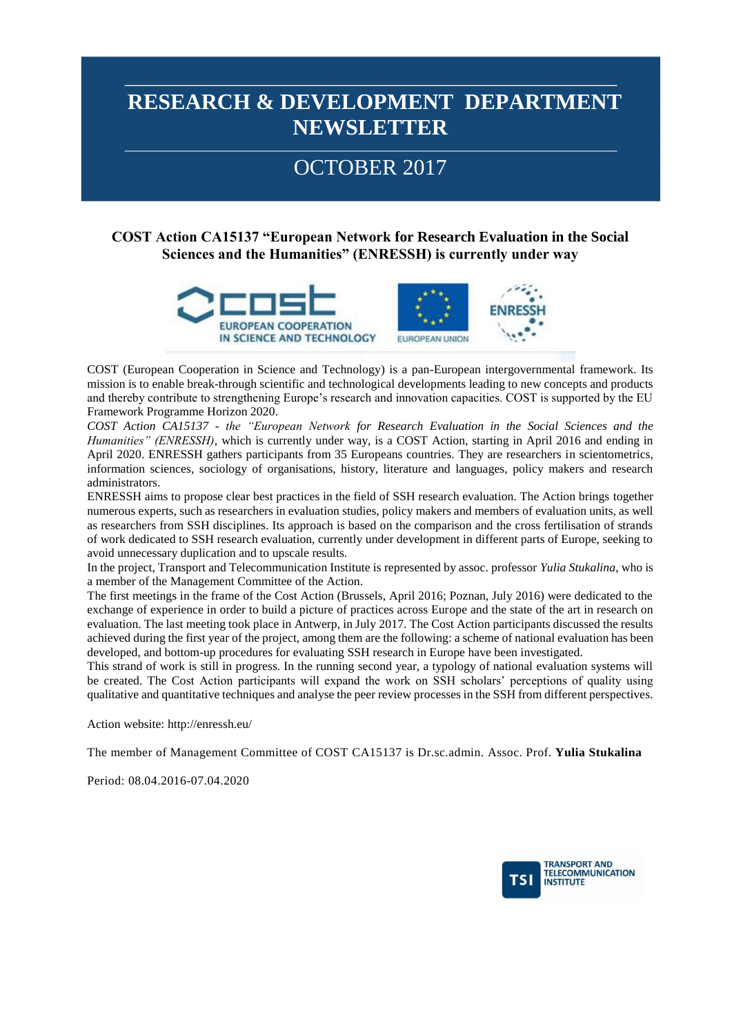## OCTOBER 2017

#### **COST Action CA15137 "European Network for Research Evaluation in the Social Sciences and the Humanities" (ENRESSH) is currently under way**



COST (European Cooperation in Science and Technology) is a pan-European intergovernmental framework. Its mission is to enable break-through scientific and technological developments leading to new concepts and products and thereby contribute to strengthening Europe's research and innovation capacities. COST is supported by the EU Framework Programme Horizon 2020.

*COST Action CA15137 - the "European Network for Research Evaluation in the Social Sciences and the Humanities" (ENRESSH)*, which is currently under way, is a COST Action, starting in April 2016 and ending in April 2020. ENRESSH gathers participants from 35 Europeans countries. They are researchers in scientometrics, information sciences, sociology of organisations, history, literature and languages, policy makers and research administrators.

ENRESSH aims to propose clear best practices in the field of SSH research evaluation. The Action brings together numerous experts, such as researchers in evaluation studies, policy makers and members of evaluation units, as well as researchers from SSH disciplines. Its approach is based on the comparison and the cross fertilisation of strands of work dedicated to SSH research evaluation, currently under development in different parts of Europe, seeking to avoid unnecessary duplication and to upscale results.

In the project, Transport and Telecommunication Institute is represented by assoc. professor *Yulia Stukalina*, who is a member of the Management Committee of the Action.

The first meetings in the frame of the Cost Action (Brussels, April 2016; Poznan, July 2016) were dedicated to the exchange of experience in order to build a picture of practices across Europe and the state of the art in research on evaluation. The last meeting took place in Antwerp, in July 2017. The Cost Action participants discussed the results achieved during the first year of the project, among them are the following: a scheme of national evaluation has been developed, and bottom-up procedures for evaluating SSH research in Europe have been investigated.

This strand of work is still in progress. In the running second year, a typology of national evaluation systems will be created. The Cost Action participants will expand the work on SSH scholars' perceptions of quality using qualitative and quantitative techniques and analyse the peer review processes in the SSH from different perspectives.

Action website: http://enressh.eu/

The member of Management Committee of COST CA15137 is Dr.sc.admin. Assoc. Prof. **Yulia Stukalina**

Period: 08.04.2016-07.04.2020

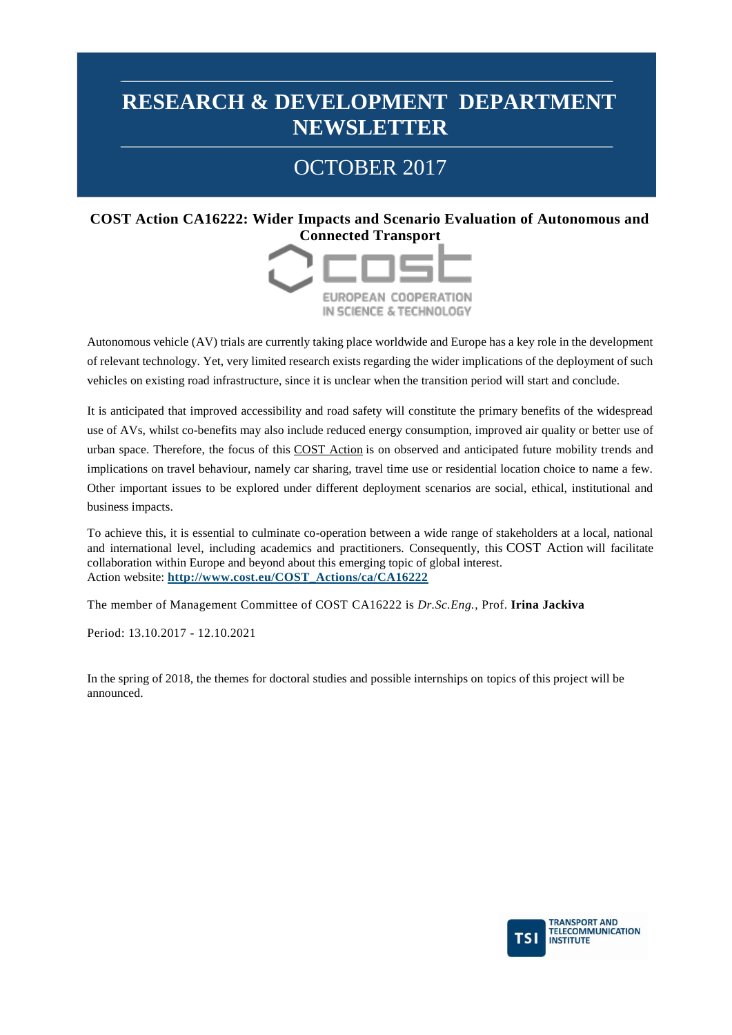# OCTOBER 2017

#### **COST Action CA16222: Wider Impacts and Scenario Evaluation of Autonomous and Connected Transport**



Autonomous vehicle (AV) trials are currently taking place worldwide and Europe has a key role in the development of relevant technology. Yet, very limited research exists regarding the wider implications of the deployment of such vehicles on existing road infrastructure, since it is unclear when the transition period will start and conclude.

It is anticipated that improved accessibility and road safety will constitute the primary benefits of the widespread use of AVs, whilst co-benefits may also include reduced energy consumption, improved air quality or better use of urban space. Therefore, the focus of this [COST Action](http://www.cost.eu/service/glossary/COST-Action) is on observed and anticipated future mobility trends and implications on travel behaviour, namely car sharing, travel time use or residential location choice to name a few. Other important issues to be explored under different deployment scenarios are social, ethical, institutional and business impacts.

To achieve this, it is essential to culminate co-operation between a wide range of stakeholders at a local, national and international level, including academics and practitioners. Consequently, this [COST Action](http://www.cost.eu/service/glossary/COST-Action) will facilitate collaboration within Europe and beyond about this emerging topic of global interest. Action website: **[http://www.cost.eu/COST\\_Actions/ca/CA16222](http://www.cost.eu/COST_Actions/ca/CA16222)**

The member of Management Committee of COST CA16222 is *Dr.Sc.Eng.,* Prof. **Irina Jackiva**

Period: 13.10.2017 - 12.10.2021

In the spring of 2018, the themes for doctoral studies and possible internships on topics of this project will be announced.

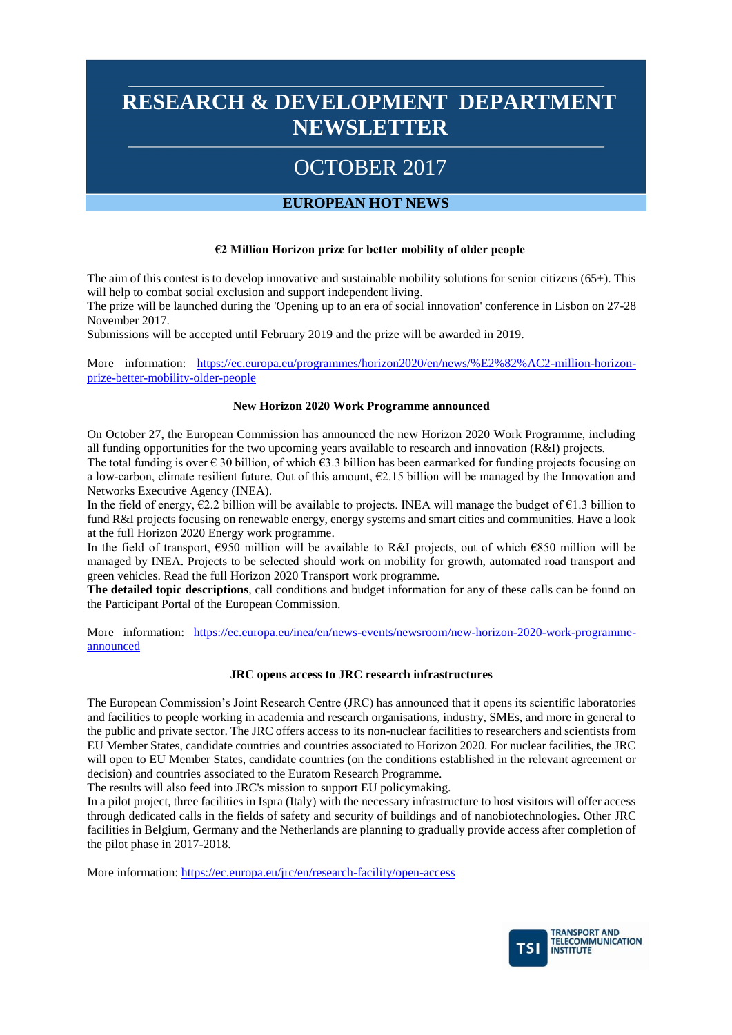# OCTOBER 2017

#### **EUROPEAN HOT NEWS**

#### **€2 Million Horizon prize for better mobility of older people**

The aim of this contest is to develop innovative and sustainable mobility solutions for senior citizens (65+). This will help to combat social exclusion and support independent living.

The prize will be launched during the 'Opening up to an era of social innovation' conference in Lisbon on 27-28 November 2017.

Submissions will be accepted until February 2019 and the prize will be awarded in 2019.

More information: [https://ec.europa.eu/programmes/horizon2020/en/news/%E2%82%AC2-million-horizon](https://ec.europa.eu/programmes/horizon2020/en/news/%E2%82%AC2-million-horizon-prize-better-mobility-older-people)[prize-better-mobility-older-people](https://ec.europa.eu/programmes/horizon2020/en/news/%E2%82%AC2-million-horizon-prize-better-mobility-older-people)

#### **New Horizon 2020 Work Programme announced**

On October 27, the European Commission has announced the new Horizon 2020 Work Programme, including all funding opportunities for the two upcoming years available to research and innovation (R&I) projects. The total funding is over  $\epsilon$  30 billion, of which  $\epsilon$ 3.3 billion has been earmarked for funding projects focusing on a low-carbon, climate resilient future. Out of this amount,  $E2.15$  billion will be managed by the Innovation and Networks Executive Agency (INEA).

In the field of energy,  $\epsilon$ 2.2 billion will be available to projects. INEA will manage the budget of  $\epsilon$ 1.3 billion to fund R&I projects focusing on renewable energy, energy systems and smart cities and communities. Have a look at the full Horizon 2020 Energy work programme.

In the field of transport, €950 million will be available to R&I projects, out of which €850 million will be managed by INEA. Projects to be selected should work on mobility for growth, automated road transport and green vehicles. Read the full Horizon 2020 Transport work programme.

**The detailed topic descriptions**, call conditions and budget information for any of these calls can be found on the Participant Portal of the European Commission.

More information: [https://ec.europa.eu/inea/en/news-events/newsroom/new-horizon-2020-work-programme](https://ec.europa.eu/inea/en/news-events/newsroom/new-horizon-2020-work-programme-announced)[announced](https://ec.europa.eu/inea/en/news-events/newsroom/new-horizon-2020-work-programme-announced)

#### **JRC opens access to JRC research infrastructures**

The European Commission's Joint Research Centre (JRC) has announced that it opens its scientific laboratories and facilities to people working in academia and research organisations, industry, SMEs, and more in general to the public and private sector. The JRC offers access to its non-nuclear facilities to researchers and scientists from EU Member States, candidate countries and countries associated to Horizon 2020. For nuclear facilities, the JRC will open to EU Member States, candidate countries (on the conditions established in the relevant agreement or decision) and countries associated to the Euratom Research Programme.

The results will also feed into JRC's mission to support EU policymaking.

In a pilot project, three facilities in Ispra (Italy) with the necessary infrastructure to host visitors will offer access through dedicated calls in the fields of safety and security of buildings and of nanobiotechnologies. Other JRC facilities in Belgium, Germany and the Netherlands are planning to gradually provide access after completion of the pilot phase in 2017-2018.

More information:<https://ec.europa.eu/jrc/en/research-facility/open-access>

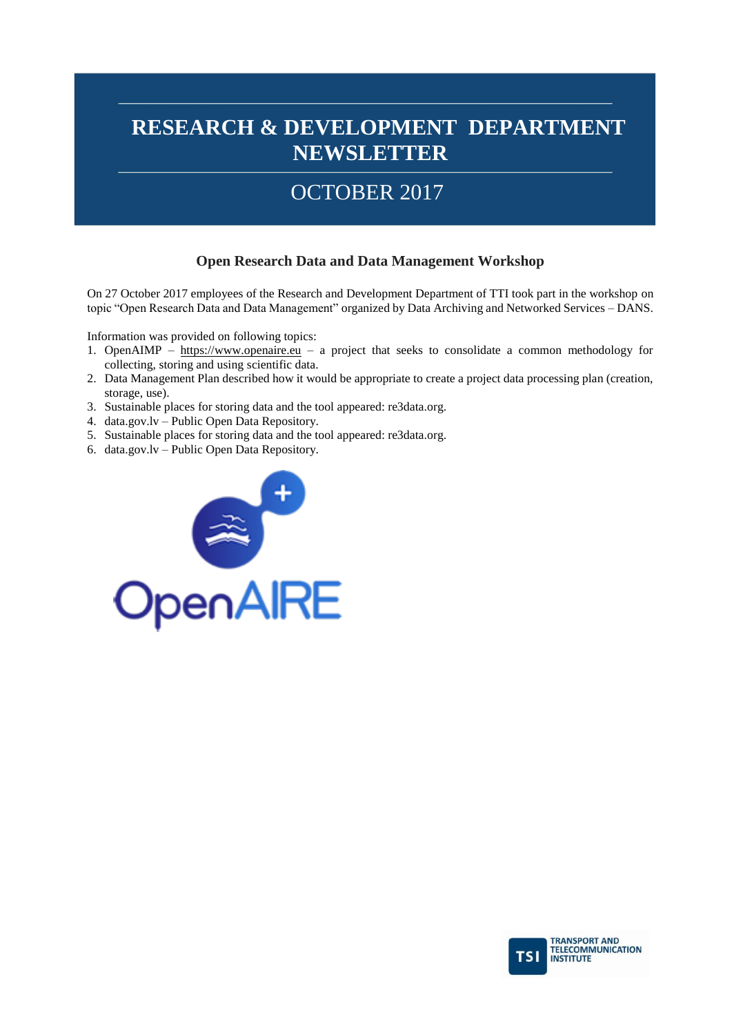# OCTOBER 2017

#### **Open Research Data and Data Management Workshop**

On 27 October 2017 employees of the Research and Development Department of TTI took part in the workshop on topic "Open Research Data and Data Management" organized by Data Archiving and Networked Services – DANS.

Information was provided on following topics:

- 1. OpenAIMP [https://www.openaire.eu](https://www.openaire.eu/) a project that seeks to consolidate a common methodology for collecting, storing and using scientific data.
- 2. Data Management Plan described how it would be appropriate to create a project data processing plan (creation, storage, use).
- 3. Sustainable places for storing data and the tool appeared: re3data.org.
- 4. data.gov.lv Public Open Data Repository.
- 5. Sustainable places for storing data and the tool appeared: re3data.org.
- 6. data.gov.lv Public Open Data Repository.



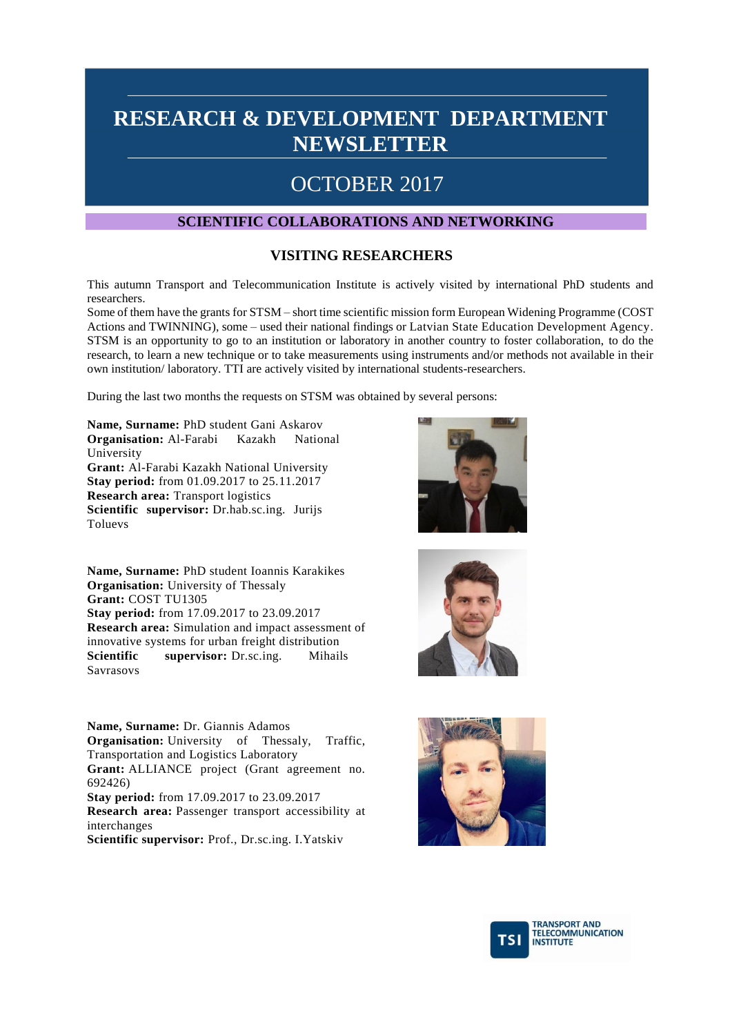#### OCTOBER 2017

#### **SCIENTIFIC COLLABORATIONS AND NETWORKING**

#### **VISITING RESEARCHERS**

This autumn Transport and Telecommunication Institute is actively visited by international PhD students and researchers.

Some of them have the grants for STSM – short time scientific mission form European Widening Programme (COST Actions and TWINNING), some – used their national findings or Latvian State Education Development Agency. STSM is an opportunity to go to an institution or laboratory in another country to foster collaboration, to do the research, to learn a new technique or to take measurements using instruments and/or methods not available in their own institution/ laboratory. TTI are actively visited by international students-researchers.

During the last two months the requests on STSM was obtained by several persons:

**Name, Surname:** PhD student Gani Askarov **Organisation:** Al-Farabi Kazakh National University **Grant:** Al-Farabi Kazakh National University **Stay period:** from 01.09.2017 to 25.11.2017 **Research area:** Transport logistics **Scientific supervisor:** Dr.hab.sc.ing. Jurijs Toluevs

**Name, Surname:** PhD student Ioannis Karakikes **Organisation:** University of Thessaly **Grant:** COST TU1305 **Stay period:** from 17.09.2017 to 23.09.2017 **Research area:** Simulation and impact assessment of innovative systems for urban freight distribution **Scientific supervisor:** Dr.sc.ing. Mihails Savrasovs

**Name, Surname:** Dr. Giannis Adamos **Organisation:** University of Thessaly, Traffic, Transportation and Logistics Laboratory **Grant:** ALLIANCE project (Grant agreement no. 692426) **Stay period:** from 17.09.2017 to 23.09.2017 **Research area:** Passenger transport accessibility at interchanges

**Scientific supervisor:** Prof., Dr.sc.ing. I.Yatskiv







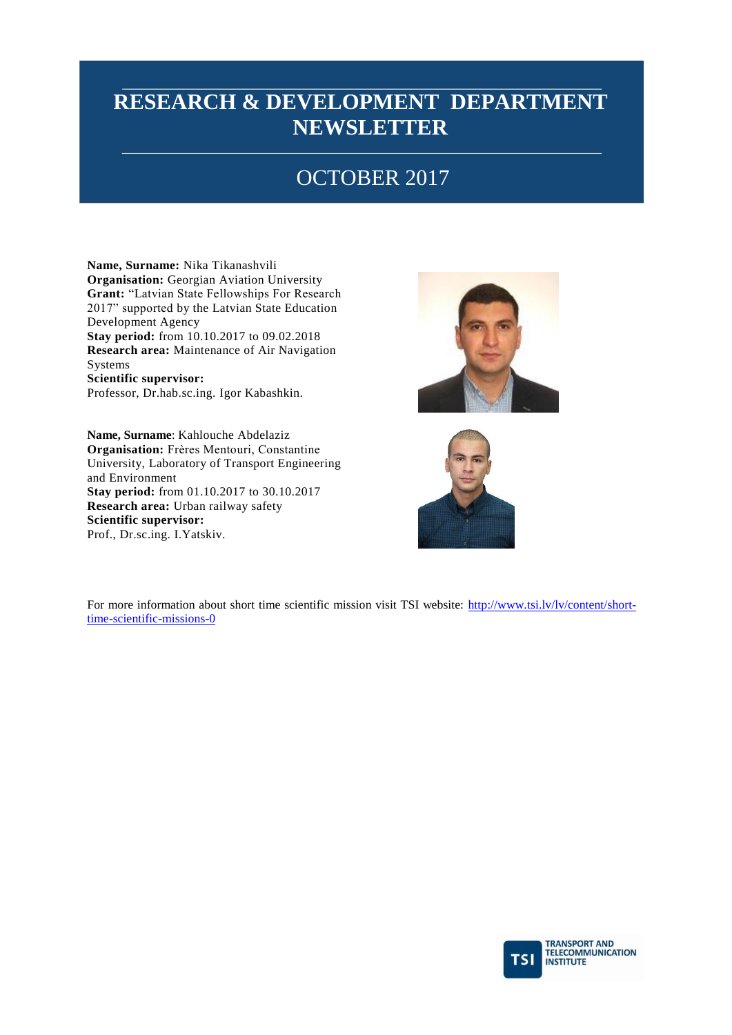# OCTOBER 2017

**Name, Surname:** Nika Tikanashvili **Organisation:** Georgian Aviation University **Grant:** "Latvian State Fellowships For Research 2017" supported by the Latvian State Education Development Agency **Stay period:** from 10.10.2017 to 09.02.2018 **Research area:** Maintenance of Air Navigation Systems **Scientific supervisor:** Professor, Dr.hab.sc.ing. Igor Kabashkin.

**Name, Surname**: Kahlouche Abdelaziz **Organisation:** Frères Mentouri, Constantine University, Laboratory of Transport Engineering and Environment **Stay period:** from 01.10.2017 to 30.10.2017 **Research area:** Urban railway safety **Scientific supervisor:** Prof., Dr.sc.ing. I.Yatskiv.





For more information about short time scientific mission visit TSI website: [http://www.tsi.lv/lv/content/short](http://www.tsi.lv/lv/content/short-time-scientific-missions-0)[time-scientific-missions-0](http://www.tsi.lv/lv/content/short-time-scientific-missions-0) 

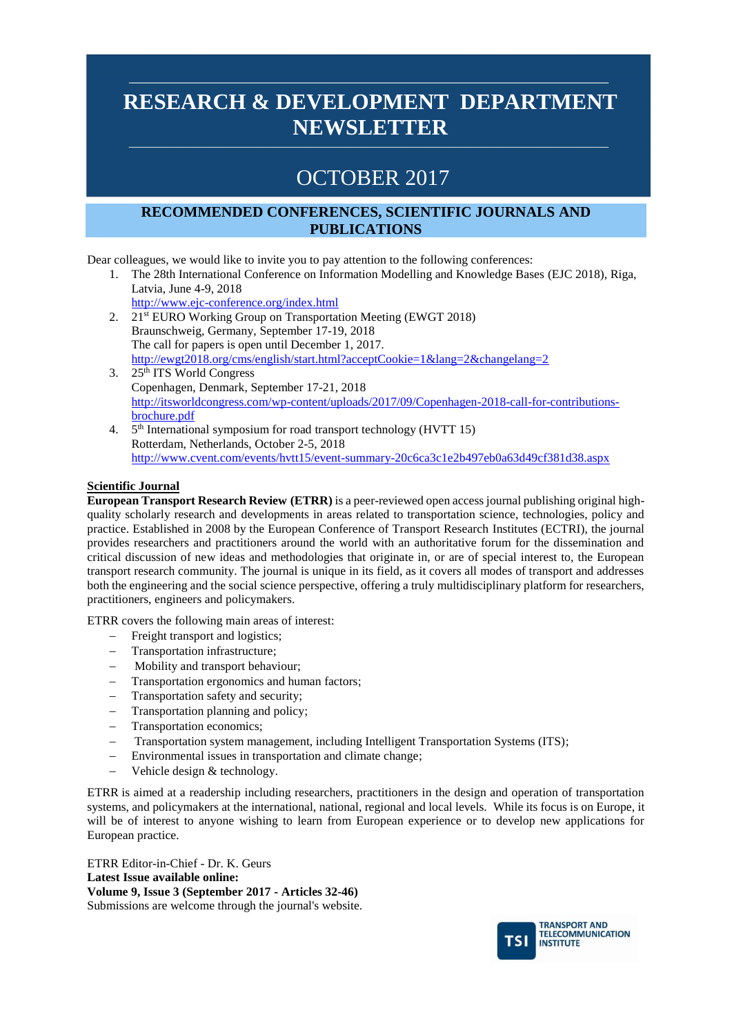## OCTOBER 2017

#### **RECOMMENDED CONFERENCES, SCIENTIFIC JOURNALS AND PUBLICATIONS**

Dear colleagues, we would like to invite you to pay attention to the following conferences:

- 1. The 28th International Conference on Information Modelling and Knowledge Bases (EJC 2018), Riga, Latvia, June 4-9, 2018
- <http://www.ejc-conference.org/index.html> 2. 21st EURO Working Group on Transportation Meeting (EWGT 2018) Braunschweig, Germany, September 17-19, 2018 The call for papers is open until December 1, 2017. <http://ewgt2018.org/cms/english/start.html?acceptCookie=1&lang=2&changelang=2> 3. 25th ITS World Congress
- Copenhagen, Denmark, September 17-21, 2018 [http://itsworldcongress.com/wp-content/uploads/2017/09/Copenhagen-2018-call-for-contributions](http://itsworldcongress.com/wp-content/uploads/2017/09/Copenhagen-2018-call-for-contributions-brochure.pdf)[brochure.pdf](http://itsworldcongress.com/wp-content/uploads/2017/09/Copenhagen-2018-call-for-contributions-brochure.pdf)
- 4. 5<sup>th</sup> International symposium for road transport technology (HVTT 15) Rotterdam, Netherlands, October 2-5, 2018 <http://www.cvent.com/events/hvtt15/event-summary-20c6ca3c1e2b497eb0a63d49cf381d38.aspx>

#### **Scientific Journal**

**European Transport Research Review (ETRR)** is a peer-reviewed open access journal publishing original highquality scholarly research and developments in areas related to transportation science, technologies, policy and practice. Established in 2008 by the European Conference of Transport Research Institutes (ECTRI), the journal provides researchers and practitioners around the world with an authoritative forum for the dissemination and critical discussion of new ideas and methodologies that originate in, or are of special interest to, the European transport research community. The journal is unique in its field, as it covers all modes of transport and addresses both the engineering and the social science perspective, offering a truly multidisciplinary platform for researchers, practitioners, engineers and policymakers.

ETRR covers the following main areas of interest:

- Freight transport and logistics;
- Transportation infrastructure;
- Mobility and transport behaviour;
- Transportation ergonomics and human factors;
- Transportation safety and security;
- Transportation planning and policy;
- Transportation economics:
- Transportation system management, including Intelligent Transportation Systems (ITS);
- Environmental issues in transportation and climate change;
- Vehicle design & technology.

ETRR is aimed at a readership including researchers, practitioners in the design and operation of transportation systems, and policymakers at the international, national, regional and local levels. While its focus is on Europe, it will be of interest to anyone wishing to learn from European experience or to develop new applications for European practice.

ETRR Editor-in-Chief - Dr. K. Geurs **Latest Issue available online: Volume 9, Issue 3 (September 2017 - Articles 32-46)**  Submissions are welcome through the journal's website.

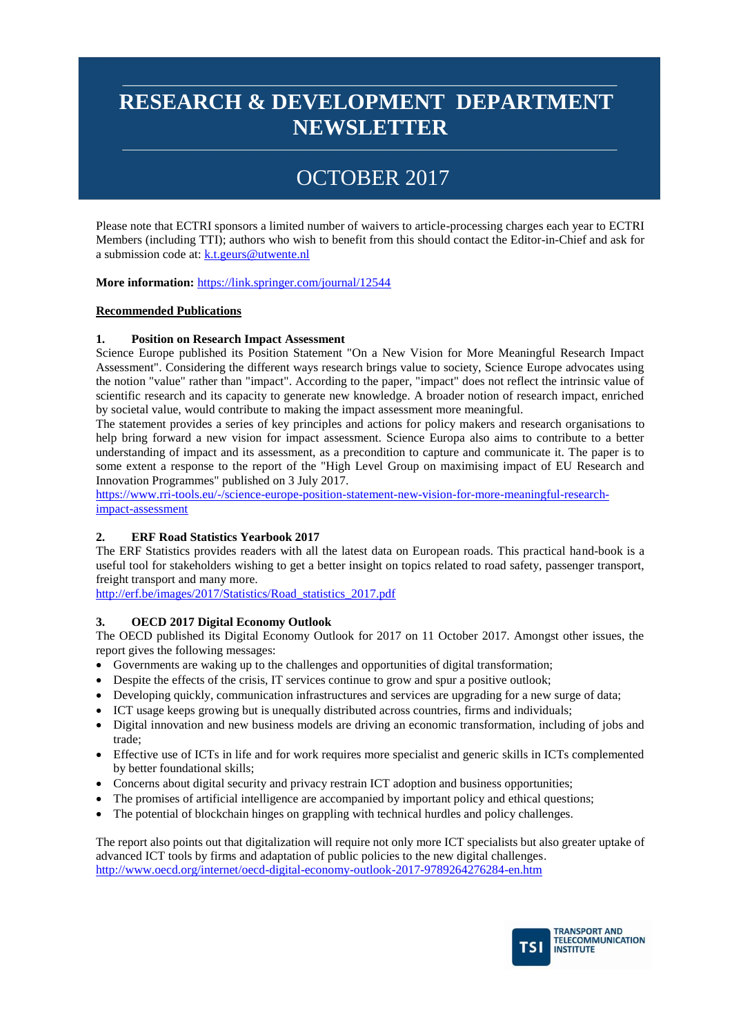# OCTOBER 2017

Please note that ECTRI sponsors a limited number of waivers to article-processing charges each year to ECTRI Members (including TTI); authors who wish to benefit from this should contact the Editor-in-Chief and ask for a submission code at: [k.t.geurs@utwente.nl](mailto:k.t.geurs@utwente.nl)

**More information:** <https://link.springer.com/journal/12544>

#### **Recommended Publications**

#### **1. Position on Research Impact Assessment**

Science Europe published its Position Statement "On a New Vision for More Meaningful Research Impact Assessment". Considering the different ways research brings value to society, Science Europe advocates using the notion "value" rather than "impact". According to the paper, "impact" does not reflect the intrinsic value of scientific research and its capacity to generate new knowledge. A broader notion of research impact, enriched by societal value, would contribute to making the impact assessment more meaningful.

The statement provides a series of key principles and actions for policy makers and research organisations to help bring forward a new vision for impact assessment. Science Europa also aims to contribute to a better understanding of impact and its assessment, as a precondition to capture and communicate it. The paper is to some extent a response to the report of the "High Level Group on maximising impact of EU Research and Innovation Programmes" published on 3 July 2017.

[https://www.rri-tools.eu/-/science-europe-position-statement-new-vision-for-more-meaningful-research](https://www.rri-tools.eu/-/science-europe-position-statement-new-vision-for-more-meaningful-research-impact-assessment)[impact-assessment](https://www.rri-tools.eu/-/science-europe-position-statement-new-vision-for-more-meaningful-research-impact-assessment)

#### **2. ERF Road Statistics Yearbook 2017**

The ERF Statistics provides readers with all the latest data on European roads. This practical hand-book is a useful tool for stakeholders wishing to get a better insight on topics related to road safety, passenger transport, freight transport and many more.

[http://erf.be/images/2017/Statistics/Road\\_statistics\\_2017.pdf](http://erf.be/images/2017/Statistics/Road_statistics_2017.pdf)

#### **3. OECD 2017 Digital Economy Outlook**

The OECD published its Digital Economy Outlook for 2017 on 11 October 2017. Amongst other issues, the report gives the following messages:

- Governments are waking up to the challenges and opportunities of digital transformation;
- Despite the effects of the crisis, IT services continue to grow and spur a positive outlook;
- Developing quickly, communication infrastructures and services are upgrading for a new surge of data;
- ICT usage keeps growing but is unequally distributed across countries, firms and individuals;
- Digital innovation and new business models are driving an economic transformation, including of jobs and trade;
- Effective use of ICTs in life and for work requires more specialist and generic skills in ICTs complemented by better foundational skills;
- Concerns about digital security and privacy restrain ICT adoption and business opportunities;
- The promises of artificial intelligence are accompanied by important policy and ethical questions;
- The potential of blockchain hinges on grappling with technical hurdles and policy challenges.

The report also points out that digitalization will require not only more ICT specialists but also greater uptake of advanced ICT tools by firms and adaptation of public policies to the new digital challenges. <http://www.oecd.org/internet/oecd-digital-economy-outlook-2017-9789264276284-en.htm>

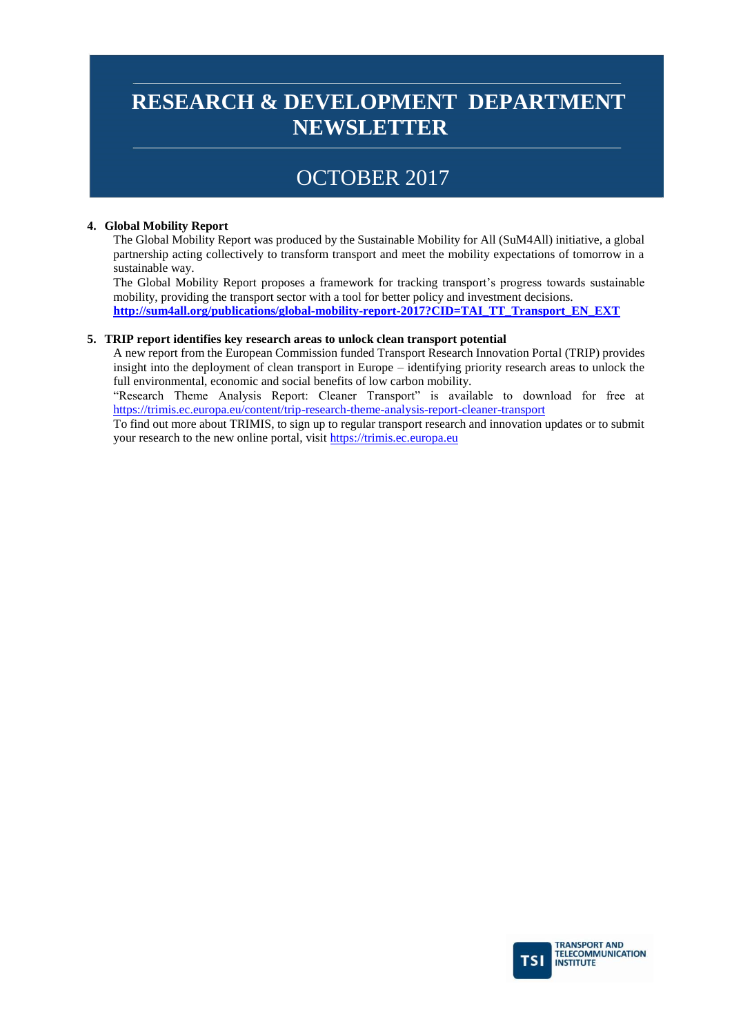### OCTOBER 2017

#### **4. Global Mobility Report**

The Global Mobility Report was produced by the Sustainable Mobility for All (SuM4All) initiative, a global partnership acting collectively to transform transport and meet the mobility expectations of tomorrow in a sustainable way.

The Global Mobility Report proposes a framework for tracking transport's progress towards sustainable mobility, providing the transport sector with a tool for better policy and investment decisions. **[http://sum4all.org/publications/global-mobility-report-2017?CID=TAI\\_TT\\_Transport\\_EN\\_EXT](http://sum4all.org/publications/global-mobility-report-2017?CID=TAI_TT_Transport_EN_EXT)**

### **5. TRIP report identifies key research areas to unlock clean transport potential**

A new report from the European Commission funded Transport Research Innovation Portal (TRIP) provides insight into the deployment of clean transport in Europe – identifying priority research areas to unlock the full environmental, economic and social benefits of low carbon mobility.

"Research Theme Analysis Report: Cleaner Transport" is available to download for free at <https://trimis.ec.europa.eu/content/trip-research-theme-analysis-report-cleaner-transport>

To find out more about TRIMIS, to sign up to regular transport research and innovation updates or to submit your research to the new online portal, visit [https://trimis.ec.europa.eu](https://trimis.ec.europa.eu/)